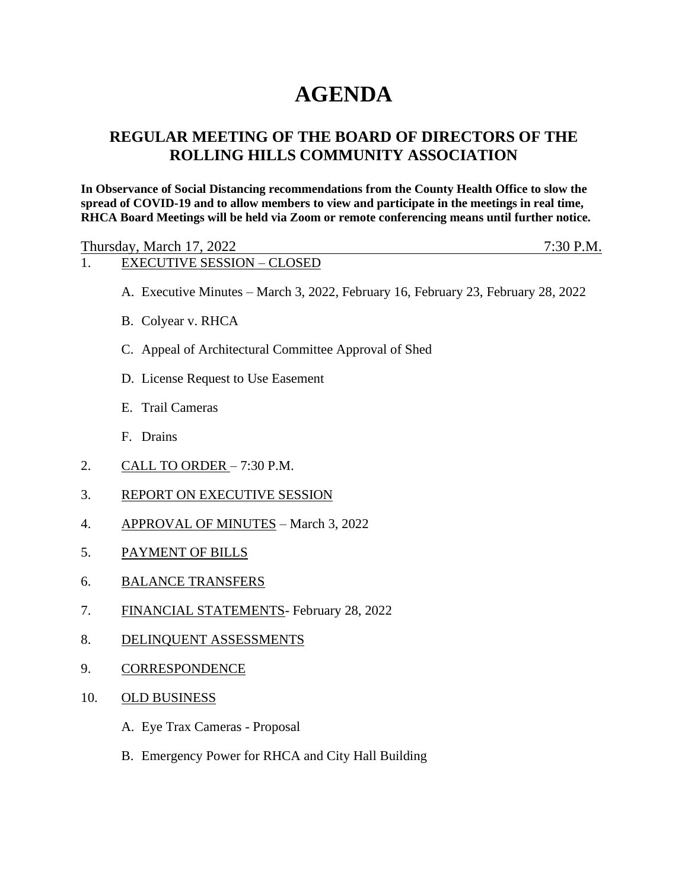# **AGENDA**

## **REGULAR MEETING OF THE BOARD OF DIRECTORS OF THE ROLLING HILLS COMMUNITY ASSOCIATION**

**In Observance of Social Distancing recommendations from the County Health Office to slow the spread of COVID-19 and to allow members to view and participate in the meetings in real time, RHCA Board Meetings will be held via Zoom or remote conferencing means until further notice.** 

Thursday, March 17, 2022 7:30 P.M.

### 1. EXECUTIVE SESSION – CLOSED

- A. Executive Minutes March 3, 2022, February 16, February 23, February 28, 2022
- B. Colyear v. RHCA
- C. Appeal of Architectural Committee Approval of Shed
- D. License Request to Use Easement
- E. Trail Cameras
- F. Drains
- 2. CALL TO ORDER 7:30 P.M.
- 3. REPORT ON EXECUTIVE SESSION
- 4. APPROVAL OF MINUTES March 3, 2022
- 5. PAYMENT OF BILLS
- 6. BALANCE TRANSFERS
- 7. FINANCIAL STATEMENTS- February 28, 2022
- 8. DELINQUENT ASSESSMENTS
- 9. CORRESPONDENCE
- 10. OLD BUSINESS
	- A. Eye Trax Cameras Proposal
	- B. Emergency Power for RHCA and City Hall Building